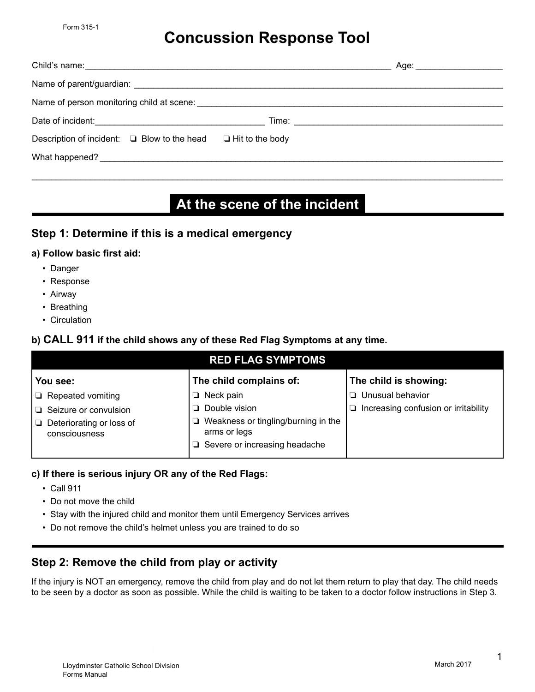# **Concussion Response Tool**

| Child's name: <u>contract and contract and contract and contract and contract and contract and contract and contract and contract and contract and contract and contract and contract and contract and contract and contract and</u> | Age: ______________________ |  |  |  |  |  |
|--------------------------------------------------------------------------------------------------------------------------------------------------------------------------------------------------------------------------------------|-----------------------------|--|--|--|--|--|
|                                                                                                                                                                                                                                      |                             |  |  |  |  |  |
|                                                                                                                                                                                                                                      |                             |  |  |  |  |  |
| Date of incident: <u>contract and the set of incident</u>                                                                                                                                                                            |                             |  |  |  |  |  |
| Description of incident: $\Box$ Blow to the head                                                                                                                                                                                     | $\Box$ Hit to the body      |  |  |  |  |  |
| What happened?<br><u> What happened?</u>                                                                                                                                                                                             |                             |  |  |  |  |  |

# **At the scene of the incident**

\_\_\_\_\_\_\_\_\_\_\_\_\_\_\_\_\_\_\_\_\_\_\_\_\_\_\_\_\_\_\_\_\_\_\_\_\_\_\_\_\_\_\_\_\_\_\_\_\_\_\_\_\_\_\_\_\_\_\_\_\_\_\_\_\_\_\_\_\_\_\_\_\_\_\_\_\_\_\_\_\_\_\_\_\_\_\_\_\_\_\_\_\_\_\_\_\_

### **Step 1: Determine if this is a medical emergency**

#### **a) Follow basic first aid:**

- Danger
- Response
- Airway
- Breathing
- Circulation

#### **b) CALL 911 if the child shows any of these Red Flag Symptoms at any time.**

| <b>RED FLAG SYMPTOMS</b>                        |                                                                                                  |                                      |  |  |  |  |  |
|-------------------------------------------------|--------------------------------------------------------------------------------------------------|--------------------------------------|--|--|--|--|--|
| You see:                                        | The child complains of:                                                                          | The child is showing:                |  |  |  |  |  |
| $\Box$ Repeated vomiting                        | $\Box$ Neck pain                                                                                 | $\Box$ Unusual behavior              |  |  |  |  |  |
| $\Box$ Seizure or convulsion                    | $\Box$ Double vision                                                                             | Increasing confusion or irritability |  |  |  |  |  |
| Deteriorating or loss of<br>D.<br>consciousness | Weakness or tingling/burning in the<br>⊔<br>arms or legs<br>$\Box$ Severe or increasing headache |                                      |  |  |  |  |  |
|                                                 |                                                                                                  |                                      |  |  |  |  |  |

#### **c) If there is serious injury OR any of the Red Flags:**

- Call 911
- Do not move the child
- Stay with the injured child and monitor them until Emergency Services arrives
- Do not remove the child's helmet unless you are trained to do so

## **Step 2: Remove the child from play or activity**

If the injury is NOT an emergency, remove the child from play and do not let them return to play that day. The child needs to be seen by a doctor as soon as possible. While the child is waiting to be taken to a doctor follow instructions in Step 3.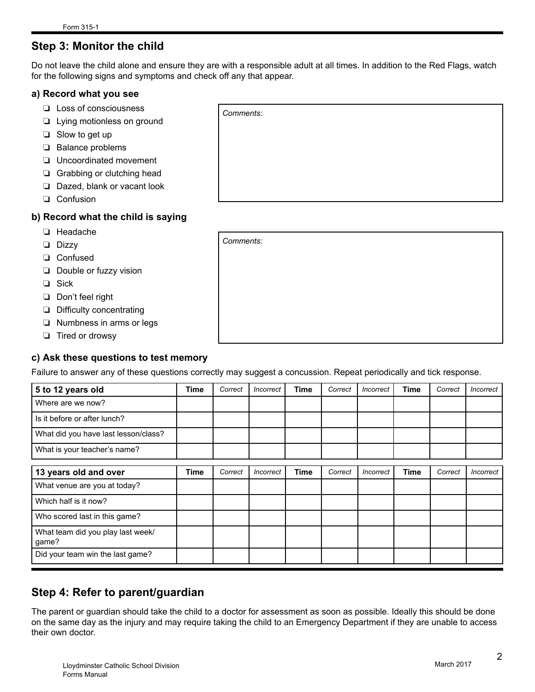# **Step 3: Monitor the child**

Do not leave the child alone and ensure they are with a responsible adult at all times. In addition to the Red Flags, watch for the following signs and symptoms and check off any that appear.

#### **a) Record what you see**

- ❏ Loss of consciousness
- ❏ Lying motionless on ground
- ❏ Slow to get up
- ❏ Balance problems
- ❏ Uncoordinated movement
- ❏ Grabbing or clutching head
- ❏ Dazed, blank or vacant look
- ❏ Confusion

#### **b) Record what the child is saying**

- ❏ Headache
- ❏ Dizzy
- ❏ Confused
- ❏ Double or fuzzy vision
- ❏ Sick
- ❏ Don't feel right
- ❏ Difficulty concentrating
- ❏ Numbness in arms or legs
- ❏ Tired or drowsy

#### **c) Ask these questions to test memory**

Failure to answer any of these questions correctly may suggest a concussion. Repeat periodically and tick response.

*Comments:*

| 5 to 12 years old                          | Time | Correct | <i><u><b>Incorrect</b></u></i> | <b>Time</b> | Correct | <i><u><b>Incorrect</b></u></i> | Time        | Correct | Incorrect |
|--------------------------------------------|------|---------|--------------------------------|-------------|---------|--------------------------------|-------------|---------|-----------|
| Where are we now?                          |      |         |                                |             |         |                                |             |         |           |
| Is it before or after lunch?               |      |         |                                |             |         |                                |             |         |           |
| What did you have last lesson/class?       |      |         |                                |             |         |                                |             |         |           |
| What is your teacher's name?               |      |         |                                |             |         |                                |             |         |           |
| 13 years old and over                      | Time | Correct | Incorrect                      | Time        | Correct | <b>Incorrect</b>               | <b>Time</b> | Correct | Incorrect |
| What venue are you at today?               |      |         |                                |             |         |                                |             |         |           |
| Which half is it now?                      |      |         |                                |             |         |                                |             |         |           |
| Who scored last in this game?              |      |         |                                |             |         |                                |             |         |           |
| What team did you play last week/<br>game? |      |         |                                |             |         |                                |             |         |           |
| Did your team win the last game?           |      |         |                                |             |         |                                |             |         |           |

### **Step 4: Refer to parent/guardian**

The parent or guardian should take the child to a doctor for assessment as soon as possible. Ideally this should be done on the same day as the injury and may require taking the child to an Emergency Department if they are unable to access their own doctor.

| Comments: |  |  |  |
|-----------|--|--|--|
|           |  |  |  |
|           |  |  |  |
|           |  |  |  |
|           |  |  |  |
|           |  |  |  |